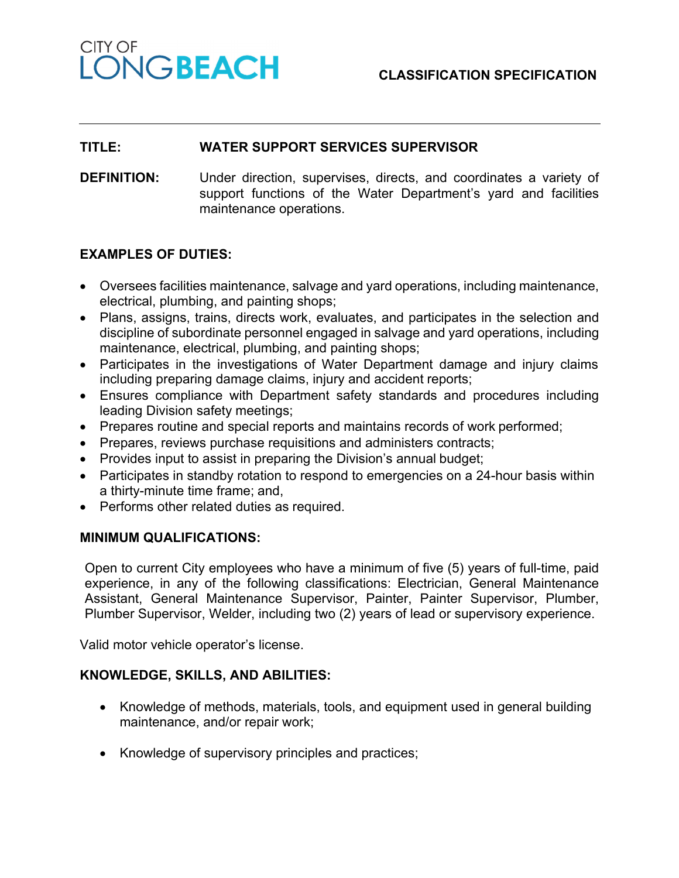#### **CLASSIFICATION SPECIFICATION**

# CITY OF LONGBEACH

#### **TITLE: WATER SUPPORT SERVICES SUPERVISOR**

**DEFINITION:** Under direction, supervises, directs, and coordinates a variety of support functions of the Water Department's yard and facilities maintenance operations.

# **EXAMPLES OF DUTIES:**

- Oversees facilities maintenance, salvage and yard operations, including maintenance, electrical, plumbing, and painting shops;
- Plans, assigns, trains, directs work, evaluates, and participates in the selection and discipline of subordinate personnel engaged in salvage and yard operations, including maintenance, electrical, plumbing, and painting shops;
- Participates in the investigations of Water Department damage and injury claims including preparing damage claims, injury and accident reports;
- Ensures compliance with Department safety standards and procedures including leading Division safety meetings;
- Prepares routine and special reports and maintains records of work performed;
- Prepares, reviews purchase requisitions and administers contracts;
- Provides input to assist in preparing the Division's annual budget;
- Participates in standby rotation to respond to emergencies on a 24-hour basis within a thirty-minute time frame; and,
- Performs other related duties as required.

#### **MINIMUM QUALIFICATIONS:**

Open to current City employees who have a minimum of five (5) years of full-time, paid experience, in any of the following classifications: Electrician, General Maintenance Assistant, General Maintenance Supervisor, Painter, Painter Supervisor, Plumber, Plumber Supervisor, Welder, including two (2) years of lead or supervisory experience.

Valid motor vehicle operator's license.

# **KNOWLEDGE, SKILLS, AND ABILITIES:**

- Knowledge of methods, materials, tools, and equipment used in general building maintenance, and/or repair work;
- Knowledge of supervisory principles and practices;